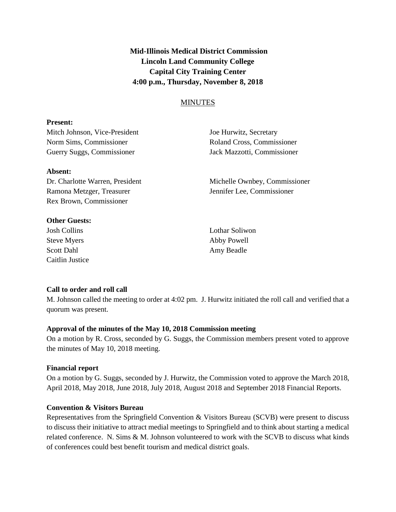**Mid-Illinois Medical District Commission Lincoln Land Community College Capital City Training Center 4:00 p.m., Thursday, November 8, 2018**

# MINUTES

### **Present:**

Mitch Johnson, Vice-President Joe Hurwitz, Secretary Norm Sims, Commissioner Roland Cross, Commissioner Guerry Suggs, Commissioner Jack Mazzotti, Commissioner

### **Absent:**

Ramona Metzger, Treasurer Jennifer Lee, Commissioner Rex Brown, Commissioner

### **Other Guests:**

Josh Collins Lothar Soliwon Steve Myers Abby Powell Scott Dahl Amy Beadle Caitlin Justice

Dr. Charlotte Warren, President Michelle Ownbey, Commissioner

# **Call to order and roll call**

M. Johnson called the meeting to order at 4:02 pm. J. Hurwitz initiated the roll call and verified that a quorum was present.

# **Approval of the minutes of the May 10, 2018 Commission meeting**

On a motion by R. Cross, seconded by G. Suggs, the Commission members present voted to approve the minutes of May 10, 2018 meeting.

# **Financial report**

On a motion by G. Suggs, seconded by J. Hurwitz, the Commission voted to approve the March 2018, April 2018, May 2018, June 2018, July 2018, August 2018 and September 2018 Financial Reports.

# **Convention & Visitors Bureau**

Representatives from the Springfield Convention & Visitors Bureau (SCVB) were present to discuss to discuss their initiative to attract medial meetings to Springfield and to think about starting a medical related conference. N. Sims & M. Johnson volunteered to work with the SCVB to discuss what kinds of conferences could best benefit tourism and medical district goals.